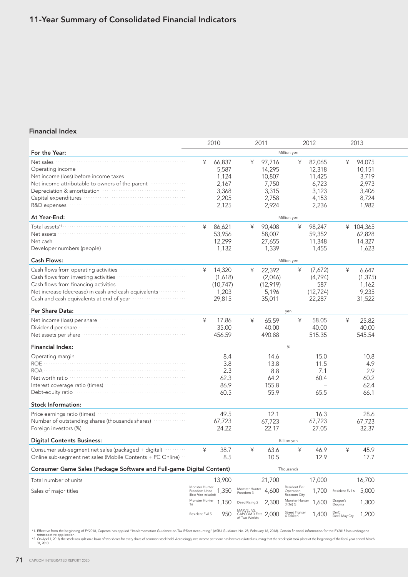## 11-Year Summary of Consolidated Financial Indicators

## Financial Index

|                                                                                                                                                                                                                                                                                                                                                                                                                                                                                                                                                                    |                                                          | 2010                                                         |                                                    | 2011                                                           |                                             | 2012                                                           |                      | 2013                                                          |  |  |
|--------------------------------------------------------------------------------------------------------------------------------------------------------------------------------------------------------------------------------------------------------------------------------------------------------------------------------------------------------------------------------------------------------------------------------------------------------------------------------------------------------------------------------------------------------------------|----------------------------------------------------------|--------------------------------------------------------------|----------------------------------------------------|----------------------------------------------------------------|---------------------------------------------|----------------------------------------------------------------|----------------------|---------------------------------------------------------------|--|--|
| For the Year:                                                                                                                                                                                                                                                                                                                                                                                                                                                                                                                                                      |                                                          |                                                              |                                                    |                                                                | Million yen                                 |                                                                |                      |                                                               |  |  |
| Net sales<br>Operating income manufactured and contact the contract of the contract of the contract of the contract of the contract of the contract of the contract of the contract of the contract of the contract of the contract of the<br>Net income (loss) before income taxes<br>Net income attributable to owners of the parent manufactured<br>Depreciation & amortization manufactured and proportional contractor<br>Capital expenditures <b>continuous</b> continuous continuous continuous continuous continuous continuous continuous<br>At Year-End: | ¥                                                        | 66,837<br>5,587<br>1,124<br>2,167<br>3,368<br>2,205<br>2,125 | ¥                                                  | 97,716<br>14,295<br>10,807<br>7,750<br>3,315<br>2,758<br>2,924 | ¥<br>Million yen                            | 82,065<br>12,318<br>11,425<br>6,723<br>3,123<br>4,153<br>2,236 | ¥                    | 94,075<br>10,151<br>3,719<br>2,973<br>3,406<br>8,724<br>1,982 |  |  |
|                                                                                                                                                                                                                                                                                                                                                                                                                                                                                                                                                                    | ¥                                                        | 86,621                                                       | ¥                                                  | 90,408                                                         | ¥                                           | 98,247                                                         |                      | ¥ 104,365                                                     |  |  |
| Net cash<br><b>Cash Flows:</b>                                                                                                                                                                                                                                                                                                                                                                                                                                                                                                                                     |                                                          | 53,956<br>12,299<br>1,132                                    |                                                    | 58,007<br>27,655<br>1,339                                      | Million yen                                 | 59,352<br>11,348<br>1,455                                      |                      | 62,828<br>14,327<br>1,623                                     |  |  |
| Cash flows from operating activities <b>contained</b> and the set of the set of the set of the set of the set of the set of the set of the set of the set of the set of the set of the set of the set of the set of the set of the                                                                                                                                                                                                                                                                                                                                 | ¥                                                        | 14,320                                                       | ¥                                                  | 22,392                                                         | ¥                                           | (7,672)                                                        | ¥                    | 6,647                                                         |  |  |
| Cash flows from investing activities <b>constructs</b> construct to the set of the set of the set of the set of the set of the set of the set of the set of the set of the set of the set of the set of the set of the set of the s<br>Cash flows from financing activities www.com.com.com.com<br>Net increase (decrease) in cash and cash equivalents<br>Cash and cash equivalents at end of year manufactured cash and cash equivalents at end of year                                                                                                          |                                                          | (1,618)<br>(10, 747)<br>1,203<br>29,815                      |                                                    | (2,046)<br>(12, 919)<br>5,196<br>35,011                        |                                             | (4,794)<br>587<br>(12, 724)<br>22,287                          |                      | (1, 375)<br>1,162<br>9,235<br>31,522                          |  |  |
| Per Share Data:                                                                                                                                                                                                                                                                                                                                                                                                                                                                                                                                                    | yen                                                      |                                                              |                                                    |                                                                |                                             |                                                                |                      |                                                               |  |  |
| Net income (loss) per share<br>Dividend per share manufactured and providend per share manufactured and provident and providence of the Dividend Provident and Dividend Provident Australian and Dividend Provident Australian and Dividend Provident Austral<br>Net assets per share with the continuum and the state of the state of the state of the state of the state of the state of the state of the state of the state of the state of the state of the state of the state of the state<br><b>Financial Index:</b>                                         | ¥                                                        | 17.86<br>35.00<br>456.59                                     | ¥                                                  | 65.59<br>40.00<br>490.88                                       | ¥<br>$\%$                                   | 58.05<br>40.00<br>515.35                                       | ¥                    | 25.82<br>40.00<br>545.54                                      |  |  |
| Operating margin manufactured and a proportional contract of the contract of the contract of the contract of the contract of the contract of the contract of the contract of the contract of the contract of the contract of t                                                                                                                                                                                                                                                                                                                                     |                                                          | 8.4                                                          |                                                    | 14.6                                                           |                                             | 15.0                                                           |                      | 10.8                                                          |  |  |
| <b>ROE</b><br>Net worth ratio<br>Interest coverage ratio (times) manufacture and contact the coverage ratio (times)<br>Debt-equity ratio                                                                                                                                                                                                                                                                                                                                                                                                                           |                                                          | 3.8<br>2.3<br>62.3<br>86.9<br>60.5                           |                                                    | 13.8<br>8.8<br>64.2<br>155.8<br>55.9                           |                                             | 11.5<br>7.1<br>60.4<br>65.5                                    |                      | 4.9<br>2.9<br>60.2<br>62.4<br>66.1                            |  |  |
| <b>Stock Information:</b>                                                                                                                                                                                                                                                                                                                                                                                                                                                                                                                                          |                                                          |                                                              |                                                    |                                                                |                                             |                                                                |                      |                                                               |  |  |
| Price earnings ratio (times) manufactured and the earnings ratio (times)<br>Number of outstanding shares (thousands shares) manufactured<br>Foreign investors (%) Manual Contract of the Second Second Second Second Second Second Second Second Second Second Second Second Second Second Second Second Second Second Second Second Second Second Second Second Second Se                                                                                                                                                                                         |                                                          | 49.5<br>67,723<br>24.22                                      |                                                    | 12.1<br>67,723<br>22.17                                        |                                             | 16.3<br>67,723<br>27.05                                        |                      | 28.6<br>67,723<br>32.37                                       |  |  |
| <b>Digital Contents Business:</b>                                                                                                                                                                                                                                                                                                                                                                                                                                                                                                                                  |                                                          | <b>Billion</b> yen                                           |                                                    |                                                                |                                             |                                                                |                      |                                                               |  |  |
| Consumer sub-segment net sales (packaged + digital) manuscript<br>Online sub-segment net sales (Mobile Contents + PC Online)                                                                                                                                                                                                                                                                                                                                                                                                                                       | ¥                                                        | 38.7<br>8.5                                                  | ¥                                                  | 63.6<br>10.5                                                   | ¥                                           | 46.9<br>12.9                                                   | ¥                    | 45.9<br>17.7                                                  |  |  |
| Consumer Game Sales (Package Software and Full-game Digital Content)                                                                                                                                                                                                                                                                                                                                                                                                                                                                                               | Thousands                                                |                                                              |                                                    |                                                                |                                             |                                                                |                      |                                                               |  |  |
| Total number of units                                                                                                                                                                                                                                                                                                                                                                                                                                                                                                                                              |                                                          | 13,900                                                       |                                                    | 21,700                                                         |                                             | 17,000                                                         |                      | 16,700                                                        |  |  |
|                                                                                                                                                                                                                                                                                                                                                                                                                                                                                                                                                                    | Monster Hunter<br>Freedom Unite<br>(Best Price included) | 1,350                                                        | Monster Hunter<br>Freedom 3                        | 4,600                                                          | Resident Evil:<br>Operation<br>Raccoon City | 1,700                                                          | Resident Evil 6      | 5,000                                                         |  |  |
|                                                                                                                                                                                                                                                                                                                                                                                                                                                                                                                                                                    | Monster Hunter<br>Tri                                    | 1,150                                                        | Dead Rising 2                                      | 2,300                                                          | Monster Hunter<br>3 (Tri) G                 | 1,600                                                          | Dragon's<br>Dogma    | 1,300                                                         |  |  |
|                                                                                                                                                                                                                                                                                                                                                                                                                                                                                                                                                                    | Resident Evil 5                                          | 950                                                          | MARVEL VS.<br>CAPCOM 3 Fate 2,000<br>of Two Worlds |                                                                | Street Fighter<br>X Tekken                  | 1,400                                                          | DmC<br>Devil May Cry | 1,200                                                         |  |  |

\*1. Effective from the beginning of FY2018, Capcom has applied "Implementation Guidance on Tax Effect Accounting" (ASBJ Guidance No. 28, February 16, 2018). Certain financial information for the FY2018 has undergone<br>\*2. On